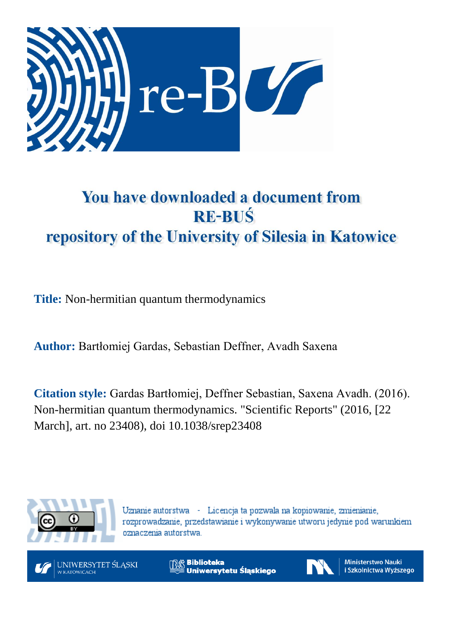

## You have downloaded a document from **RE-BUŚ** repository of the University of Silesia in Katowice

**Title:** Non-hermitian quantum thermodynamics

**Author:** Bartłomiej Gardas, Sebastian Deffner, Avadh Saxena

**Citation style:** Gardas Bartłomiej, Deffner Sebastian, Saxena Avadh. (2016). Non-hermitian quantum thermodynamics. "Scientific Reports" (2016, [22 March], art. no 23408), doi 10.1038/srep23408



Uznanie autorstwa - Licencja ta pozwala na kopiowanie, zmienianie, rozprowadzanie, przedstawianie i wykonywanie utworu jedynie pod warunkiem oznaczenia autorstwa.



**Biblioteka** Uniwersytetu Śląskiego



**Ministerstwo Nauki** i Szkolnictwa Wyższego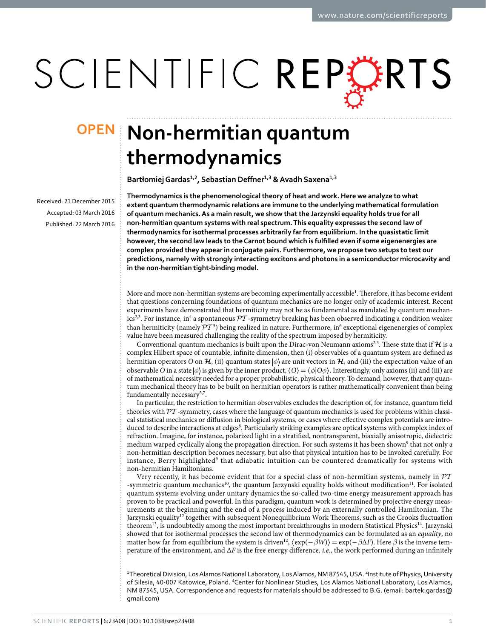# SCIENTIFIC REPERTS

Received: 21 December 2015 accepted: 03 March 2016 Published: 22 March 2016

## **Non-hermitian quantum OPENthermodynamics**

**Bartłomiej Gardas<sup>1</sup>,<sup>2</sup>, Sebastian Deffner<sup>1</sup>,<sup>3</sup> & Avadh Saxena<sup>1</sup>,<sup>3</sup>**

**Thermodynamics is the phenomenological theory of heat and work. Here we analyze to what extent quantum thermodynamic relations are immune to the underlying mathematical formulation of quantum mechanics. As a main result, we show that the Jarzynski equality holds true for all non-hermitian quantum systems with real spectrum. This equality expresses the second law of thermodynamics for isothermal processes arbitrarily far from equilibrium. In the quasistatic limit however,the second law leads to the Carnot bound which is fulfilled even if some eigenenergies are complex provided they appear in conjugate pairs. Furthermore, we propose two setups to test our predictions, namely with strongly interacting excitons and photons in a semiconductor microcavity and in the non-hermitian tight-binding model.**

More and more non-hermitian systems are becoming experimentally accessible<sup>1</sup>. Therefore, it has become evident that questions concerning foundations of quantum mechanics are no longer only of academic interest. Recent experiments have demonstrated that hermiticity may not be as fundamental as mandated by quantum mechan-ics<sup>2[,3](#page-7-2)</sup>. For instance, in<sup>[4](#page-7-3)</sup> a spontaneous  $\mathcal{PT}$ -symmetry breaking has been observed indicating a condition weaker than hermiticity (namely  $PT^5$  $PT^5$ ) being realized in nature. Furthermore, in<sup>[6](#page-7-5)</sup> exceptional eigenenergies of complex value have been measured challenging the reality of the spectrum imposed by hermiticity.

Conventional quantum mechanics is built upon the Dirac-von Neumann axioms<sup>2,[3](#page-7-2)</sup>. These state that if  $\mathcal H$  is a complex Hilbert space of countable, infinite dimension, then (i) observables of a quantum system are defined as hermitian operators *O* on  $\mathcal{H}$ , (ii) quantum states  $|\phi\rangle$  are unit vectors in  $\mathcal{H}$ , and (iii) the expectation value of an observable  $\hat{O}$  in a state  $|\phi\rangle$  is given by the inner product,  $\langle O \rangle = \langle \phi | O \phi \rangle$ . Interestingly, only axioms (ii) and (iii) are of mathematical necessity needed for a proper probabilistic, physical theory. To demand, however, that any quantum mechanical theory has to be built on hermitian operators is rather mathematically convenient than being fundamentally necessary<sup>5,[7](#page-7-6)</sup>.

In particular, the restriction to hermitian observables excludes the description of, for instance, quantum field theories with PT -symmetry, cases where the language of quantum mechanics is used for problems within classical statistical mechanics or diffusion in biological systems, or cases where effective complex potentials are intro-duced to describe interactions at edges[8](#page-7-7). Particularly striking examples are optical systems with complex index of refraction. Imagine, for instance, polarized light in a stratified, nontransparent, biaxially anisotropic, dielectric medium warped cyclically along the propagation direction. For such systems it has been shown<sup>[9](#page-7-8)</sup> that not only a non-hermitian description becomes necessary, but also that physical intuition has to be invoked carefully. For instance, Berry highlighted<sup>[9](#page-7-8)</sup> that adiabatic intuition can be countered dramatically for systems with non-hermitian Hamiltonians.

Very recently, it has become evident that for a special class of non-hermitian systems, namely in  $\mathcal{P}\mathcal{T}$ -symmetric quantum mechanics<sup>[10](#page-7-9)</sup>, the quantum Jarzynski equality holds without modification<sup>11</sup>. For isolated quantum systems evolving under unitary dynamics the so-called two-time energy measurement approach has proven to be practical and powerful. In this paradigm, quantum work is determined by projective energy measurements at the beginning and the end of a process induced by an externally controlled Hamiltonian. The Jarzynski equality<sup>12</sup> together with subsequent Nonequilibrium Work Theorems, such as the Crooks fluctuation theorem<sup>13</sup>, is undoubtedly among the most important breakthroughs in modern Statistical Physics<sup>[14](#page-7-13)</sup>. Jarzynski showed that for isothermal processes the second law of thermodynamics can be formulated as an *equality*, no matter how far from equilibrium the system is driven<sup>12</sup>,  $\langle \exp(-\beta W) \rangle = \exp(-\beta \Delta F)$ . Here  $\beta$  is the inverse temperature of the environment, and Δ*F* is the free energy difference, *i.e.*, the work performed during an infinitely

<sup>1</sup>Theoretical Division, Los Alamos National Laboratory, Los Alamos, NM 87545, USA. <sup>2</sup>Institute of Physics, University of Silesia, 40-007 Katowice, Poland. <sup>3</sup>Center for Nonlinear Studies, Los Alamos National Laboratory, Los Alamos, NM 87545, USA. Correspondence and requests for materials should be addressed to B.G. (email: [bartek.gardas@](mailto:bartek.gardas@gmail.com) [gmail.com\)](mailto:bartek.gardas@gmail.com)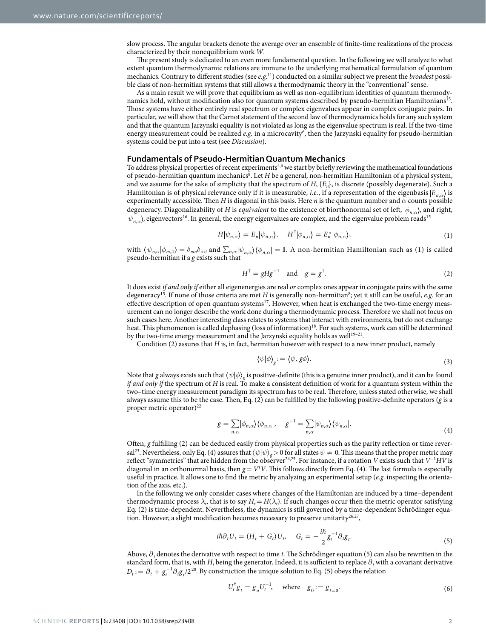slow process. The angular brackets denote the average over an ensemble of finite-time realizations of the process characterized by their nonequilibrium work *W*.

The present study is dedicated to an even more fundamental question. In the following we will analyze to what extent quantum thermodynamic relations are immune to the underlying mathematical formulation of quantum mechanics. Contrary to different studies (see *e.g.*[11](#page-7-10)) conducted on a similar subject we present the *broadest* possible class of non-hermitian systems that still allows a thermodynamic theory in the "conventional" sense.

As a main result we will prove that equilibrium as well as non-equilibrium identities of quantum thermodynamics hold, without modification also for quantum systems described by pseudo-hermitian Hamiltonians[15.](#page-7-14) Those systems have either entirely real spectrum or complex eigenvalues appear in complex conjugate pairs. In particular, we will show that the Carnot statement of the second law of thermodynamics holds for any such system and that the quantum Jarzynski equality is not violated as long as the eigenvalue spectrum is real. If the two-time energy measurement could be realized *e.g.* in a microcavity<sup>6</sup>, then the Jarzynski equality for pseudo-hermitian systems could be put into a test (see *Discussion*).

#### **Fundamentals of Pseudo-HermitianQuantum Mechanics**

To address physical properties of recent experiments<sup>[4,](#page-7-3)6</sup> we start by briefly reviewing the mathematical foundations of pseudo-hermitian quantum mechanics<sup>8</sup>. Let *H* be a general, non-hermitian Hamiltonian of a physical system, and we assume for the sake of simplicity that the spectrum of *H*, {*En*}, is discrete (possibly degenerate). Such a Hamiltonian is of physical relevance only if it is measurable, *i.e.*, if a representation of the eigenbasis *En*,*α* is experimentally accessible. Then *H* is diagonal in this basis. Here *n* is the quantum number and  $\alpha$  counts possible degeneracy. Diagonalizability of *H* is *equivalent* to the existence of biorthonormal set of left, *φn*,*<sup>α</sup>* , and right,  $|\psi_{n}$ <sub>*n*</sub>, eigenvectors<sup>16</sup>. In general, the energy eigenvalues are complex, and the eigenvalue problem reads<sup>15</sup>

$$
H|\psi_{n,\alpha}\rangle = E_n|\psi_{n,\alpha}\rangle, \quad H^{\dagger}|\phi_{n,\alpha}\rangle = E_n^*|\phi_{n,\alpha}\rangle,\tag{1}
$$

with  $\langle \psi_{n,\alpha} | \phi_{m,\beta} \rangle = \delta_{mn} \delta_{\alpha\beta}$  and  $\sum_{n,\alpha} |\psi_{n,\alpha}\rangle \langle \phi_{n,\alpha}| = \mathbb{I}$ . A non-hermitian Hamiltonian such as (1) is called pseudo-hermitian if a *g* exists such that

$$
H^{\dagger} = gHg^{-1} \quad \text{and} \quad g = g^{\dagger}.
$$
 (2)

It does exist *if and only if* either all eigenenergies are real *or* complex ones appear in conjugate pairs with the same degeneracy<sup>[15](#page-7-14)</sup>. If none of those criteria are met *H* is generally non-hermitian<sup>[8](#page-7-7)</sup>; yet it still can be useful, *e.g.* for an effective description of open quantum systems<sup>[17](#page-7-16)</sup>. However, when heat is exchanged the two-time energy measurement can no longer describe the work done during a thermodynamic process. Therefore we shall not focus on such cases here. Another interesting class relates to systems that interact with environments, but do not exchange heat. This phenomenon is called dephasing (loss of information)<sup>[18](#page-7-17)</sup>. For such systems, work can still be determined by the two-time energy measurement and the Jarzynski equality holds as well<sup>19-21</sup>.

Condition (2) assures that *H* is, in fact, hermitian however with respect to a new inner product, namely

$$
\psi|\phi\rangle_{g} := \langle \psi, g\phi \rangle. \tag{3}
$$

Note that *g* always exists such that 〈*ψ*|*φ*〉*g* is positive-definite (this is a genuine inner product), and it can be found *if and only if* the spectrum of *H* is real. To make a consistent definition of work for a quantum system within the two–time energy measurement paradigm its spectrum has to be real. Therefore, unless stated otherwise, we shall always assume this to be the case. Then, Eq. (2) can be fulfilled by the following positive-definite operators (*g* is a proper metric operator)<sup>22</sup>

$$
g = \sum_{n,\alpha} |\phi_{n,\alpha}\rangle \langle \phi_{n,\alpha}|, \quad g^{-1} = \sum_{n,\alpha} |\psi_{n,\alpha}\rangle \langle \psi_{n,\alpha}|.
$$
 (4)

Often, *g* fulfilling (2) can be deduced easily from physical properties such as the parity reflection or time reversal<sup>23</sup>. Nevertheless, only Eq. (4) assures that  $\langle \psi | \psi \rangle_g > 0$  for all states  $\psi \neq 0$ . This means that the proper metric may reflect "symmetries" that are hidden from the observer[24](#page-7-21),[25](#page-7-22). For instance, if a rotation *V* exists such that *V*<sup>−</sup><sup>1</sup> *HV* is diagonal in an orthonormal basis, then  $g = V^{\dagger}V$ . This follows directly from Eq. (4). The last formula is especially useful in practice. It allows one to find the metric by analyzing an experimental setup (*e.g.* inspecting the orientation of the axis, etc.).

In the following we only consider cases where changes of the Hamiltonian are induced by a time–dependent thermodynamic process  $\lambda_i$ , that is to say  $H_t = H(\lambda_i)$ . If such changes occur then the metric operator satisfying Eq. (2) is time-dependent. Nevertheless, the dynamics is still governed by a time-dependent Schrödinger equation. However, a slight modification becomes necessary to preserve unitarity $26,27$ ,

$$
i\hbar \partial_t U_t = (H_t + G_t) U_t, \quad G_t = -\frac{i\hbar}{2} g_t^{-1} \partial_t g_t.
$$
\n<sup>(5)</sup>

Above, ∂*<sup>t</sup>* denotes the derivative with respect to time *t*. The Schrödinger equation (5) can also be rewritten in the standard form, that is, with  $H_t$  being the generator. Indeed, it is sufficient to replace  $\partial_t$  with a covariant derivative  $D_t := \partial_t + g_t^{-1} \partial_t g_t/2^{28}$  $D_t := \partial_t + g_t^{-1} \partial_t g_t/2^{28}$  $D_t := \partial_t + g_t^{-1} \partial_t g_t/2^{28}$ . By construction the unique solution to Eq. (5) obeys the relation

$$
U_t^{\dagger} g_t = g_o U_t^{-1}, \quad \text{where} \quad g_0 := g_{t=0}.
$$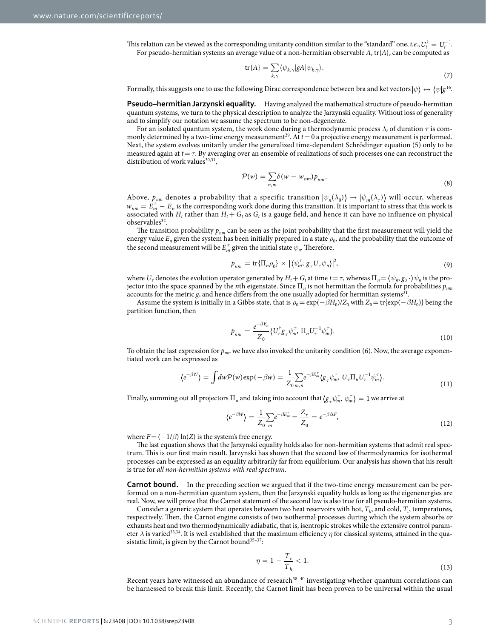This relation can be viewed as the corresponding unitarity condition similar to the "standard" one, *i.e.*,  $U_t^{\dagger} = U_t^{-1}$ . For pseudo-hermitian systems an average value of a non-hermitian observable *A*, tr{*A*}, can be computed as

$$
\text{tr}\{A\} = \sum_{k,\gamma} \langle \psi_{k,\gamma} | gA | \psi_{k,\gamma} \rangle. \tag{7}
$$

Formally, this suggests one to use the following Dirac correspondence between bra and ket vectors  $|\psi\rangle \leftrightarrow \langle \psi|g^{16}$ .

**Pseudo–hermitian Jarzynski equality.** Having analyzed the mathematical structure of pseudo-hermitian quantum systems, we turn to the physical description to analyze the Jarzynski equality. Without loss of generality and to simplify our notation we assume the spectrum to be non-degenerate.

For an isolated quantum system, the work done during a thermodynamic process  $\lambda_t$  of duration  $\tau$  is commonly determined by a two-time energy measurement<sup>29</sup>. At  $t=0$  a projective energy measurement is performed. Next, the system evolves unitarily under the generalized time-dependent Schrödinger equation (5) only to be measured again at *t*= *τ*. By averaging over an ensemble of realizations of such processes one can reconstruct the distribution of work values $^{30,31}$  $^{30,31}$  $^{30,31}$  $^{30,31}$  $^{30,31}$ ,

$$
\mathcal{P}(w) = \sum_{n,m} \delta(w - w_{nm}) p_{nm}.
$$
\n(8)

Above,  $p_{nm}$  denotes a probability that a specific transition  $|\psi_n(\lambda_0)\rangle \to |\psi_m(\lambda_\tau)\rangle$  will occur, whereas  $w_{nm} = E_m^T - E_n$  is the corresponding work done during this transition. It is important to stress that this work is associated with  $H_t$  rather than  $H_t + G_t$  as  $G_t$  is a gauge field, and hence it can have no influence on physical  $observalsles<sup>32</sup>$  $observalsles<sup>32</sup>$  $observalsles<sup>32</sup>$ .

The transition probability *pnm* can be seen as the joint probability that the first measurement will yield the energy value  $E_n$  given the system has been initially prepared in a state  $\rho_0$ , and the probability that the outcome of the second measurement will be  $E_m^{\tau}$  given the initial state  $\psi_n$ . Therefore,

$$
p_{nm} = \text{tr}\{\Pi_n \rho_0\} \times |\langle \psi_m^{\tau}, g_{\tau} U_{\tau} \psi_n \rangle|^2,
$$
\n(9)

where  $U_\tau$  denotes the evolution operator generated by  $H_t + G_t$  at time  $t = \tau$ , whereas  $\Pi_n = \langle \psi_n, g_0 \cdot \rangle \psi_n$  is the projector into the space spanned by the *n*th eigenstate. Since Π*n* is not hermitian the formula for probabilities *pnm* accounts for the metric  $g$ , and hence differs from the one usually adopted for hermitian systems<sup>31</sup>.

Assume the system is initially in a Gibbs state, that is  $\rho_0 = \exp(-\beta H_0)/Z_0$  with  $Z_0 = \text{tr}\{\exp(-\beta H_0)\}$  being the partition function, then

$$
p_{nm} = \frac{e^{-\beta E_n}}{Z_0} \langle U_{\tau}^{\dagger} g_{\tau} \psi_m^{\tau}, \Pi_n U_{\tau}^{-1} \psi_m^{\tau} \rangle.
$$
 (10)

To obtain the last expression for  $p_{nm}$  we have also invoked the unitarity condition (6). Now, the average exponentiated work can be expressed as

$$
\langle e^{-\beta W} \rangle = \int d\omega \mathcal{P}(\omega) \exp(-\beta \omega) = \frac{1}{Z_0} \sum_{m,n} e^{-\beta E_m^{\tau}} \langle g_{\tau} \psi_m^{\tau}, U_{\tau} \Pi_n U_{\tau}^{-1} \psi_m^{\tau} \rangle. \tag{11}
$$

Finally, summing out all projectors  $\Pi_n$  and taking into account that  $\langle g_{\tau} \psi_m^T, \psi_m^T \rangle = 1$  we arrive at

$$
\langle e^{-\beta W} \rangle = \frac{1}{Z_0} \sum_m e^{-\beta E_m^{\tau}} = \frac{Z_{\tau}}{Z_0} = e^{-\beta \Delta F}, \tag{12}
$$

where  $F = (-1/\beta) \ln(Z)$  is the system's free energy.

The last equation shows that the Jarzynski equality holds also for non-hermitian systems that admit real spectrum. This is our first main result. Jarzynski has shown that the second law of thermodynamics for isothermal processes can be expressed as an equality arbitrarily far from equilibrium. Our analysis has shown that his result is true for *all non-hermitian systems with real spectrum.*

**Carnot bound.** In the preceding section we argued that if the two-time energy measurement can be performed on a non-hermitian quantum system, then the Jarzynski equality holds as long as the eigenenergies are real. Now, we will prove that the Carnot statement of the second law is also true for all pseudo-hermitian systems.

Consider a generic system that operates between two heat reservoirs with hot,  $T_h$ , and cold,  $T_c$ , temperatures, respectively. Then, the Carnot engine consists of two isothermal processes during which the system absorbs *or* exhausts heat and two thermodynamically adiabatic, that is, isentropic strokes while the extensive control parameter  $\lambda$  is varied<sup>[33](#page-7-30),[34](#page-7-31)</sup>. It is well established that the maximum efficiency  $\eta$  for classical systems, attained in the quasistatic limit, is given by the Carnot bound $35-37$ :

$$
\eta = 1 - \frac{T_c}{T_h} < 1. \tag{13}
$$

Recent years have witnessed an abundance of research<sup>38-40</sup> investigating whether quantum correlations can be harnessed to break this limit. Recently, the Carnot limit has been proven to be universal within the usual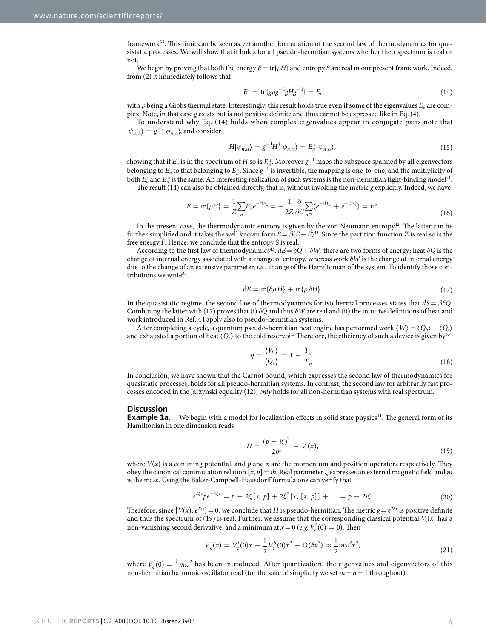framework<sup>33</sup>. This limit can be seen as yet another formulation of the second law of thermodynamics for quasistatic processes. We will show that it holds for all pseudo-hermitian systems whether their spectrum is real or not.

We begin by proving that both the energy *E*= tr{*ρH*} and entropy *S* are real in our present framework. Indeed, from (2) it immediately follows that

$$
E^* = \text{tr}\{g\rho g^{-1}gHg^{-1}\} = E,\tag{14}
$$

with *ρ* being a Gibbs thermal state. Interestingly, this result holds true even if some of the eigenvalues *En* are complex. Note, in that case *g* exists but is not positive definite and thus cannot be expressed like in Eq. (4).

To understand why Eq. (14) holds when complex eigenvalues appear in conjugate pairs note that  $\langle \psi_{n,\alpha} \rangle = g^{-1} | \phi_{n,\alpha} \rangle$ , and consider

$$
H|\psi_{n,\alpha}\rangle = g^{-1}H^{\dagger}|\phi_{n,\alpha}\rangle = E_n^*|\psi_{n,\alpha}\rangle,\tag{15}
$$

showing that if  $E_n$  is in the spectrum of *H* so is  $E_n^*$ . Moreover  $g^{-1}$  maps the subspace spanned by all eigenvectors belonging to  $E_n$  to that belonging to  $E_n^*$ . Since  $g^{-1}$  is invertible, the mapping is one-to-one, and the multiplicity of both  $E_n$  and  $E_n^*$  is the same. An interesting realization of such systems is the non-hermitian tight-binding model<sup>41</sup>.

The result (14) can also be obtained directly, that is, without invoking the metric *g* explicitly. Indeed, we have

$$
E = \text{tr}\{\rho H\} = \frac{1}{Z} \sum_{n} E_n e^{-\beta E_n} = -\frac{1}{2Z} \frac{\partial}{\partial \beta} \sum_{n/2} (e^{-\beta E_n} + e^{-\beta E_n^*}) = E^*.
$$
\n(16)

In the present case, the thermodynamic entropy is given by the von Neumann entropy $4^2$ . The latter can be further simplified and it takes the well known form  $S = \beta(E - F)^{33}$  $S = \beta(E - F)^{33}$  $S = \beta(E - F)^{33}$ . Since the partition function *Z* is real so is the free energy *F*. Hence, we conclude that the entropy *S* is real.

According to the first law of thermodynamics<sup>[43](#page-7-36)</sup>,  $dE = \delta Q + \delta W$ , there are two forms of energy: heat  $\delta Q$  is the change of internal energy associated with a change of entropy, whereas work *δW* is the change of internal energy due to the change of an extensive parameter, *i.e.*, change of the Hamiltonian of the system. To identify those contributions we write<sup>33</sup>

$$
dE = tr{\delta\rho H} + tr{\rho \delta H}.
$$
 (17)

In the quasistatic regime, the second law of thermodynamics for isothermal processes states that *dS* = *βδQ*. Combining the latter with (17) proves that (i) *δQ* and thus *δW* are real and (ii) the intuitive definitions of heat and work introduced in Ref. [44](#page-7-37) apply also to pseudo-hermitian systems.

After completing a cycle, a quantum pseudo-hermitian heat engine has performed work 〈*W*〉 = 〈*Qh*〉 − 〈*Qc*〉 and exhausted a portion of heat  $\langle Q_c \rangle$  to the cold reservoir. Therefore, the efficiency of such a device is given by

$$
\eta = \frac{\langle W \rangle}{\langle Q_c \rangle} = 1 - \frac{T_c}{T_h}.\tag{18}
$$

In conclusion, we have shown that the Carnot bound, which expresses the second law of thermodynamics for quasistatic processes, holds for all pseudo-hermitian systems. In contrast, the second law for arbitrarily fast processes encoded in the Jarzynski equality (12), *only* holds for all non-hermitian systems with real spectrum.

#### **Discussion**

**Example 1a.** We begin with a model for localization effects in solid state physics<sup>41</sup>. The general form of its Hamiltonian in one dimension reads

$$
H = \frac{(p - i\xi)^2}{2m} + V(x),
$$
\n(19)

where  $V(x)$  is a confining potential, and  $p$  and  $x$  are the momentum and position operators respectively. They obey the canonical commutation relation  $[x, p] = i\hbar$ . Real parameter  $\xi$  expresses an external magnetic field and *m* is the mass. Using the Baker-Campbell-Hausdorff formula one can verify that

$$
e^{2\xi x} p e^{-2\xi x} = p + 2\xi [x, p] + 2\xi^2 [x, [x, p]] + ... = p + 2i\xi.
$$
 (20)

Therefore, since  $[V(x), e^{2\xi x}] = 0$ , we conclude that *H* is pseudo-hermitian. The metric  $g = e^{2\xi x}$  is positive definite and thus the spectrum of (19) is real. Further, we assume that the corresponding classical potential  $V_c(x)$  has a non-vanishing second derivative, and a minimum at  $x = 0$  (*e.g.*  $V_c'(0) = 0$ ). Then

$$
V_c(x) = V_c'(0)x + \frac{1}{2}V_c''(0)x^2 + O(\delta x^3) \approx \frac{1}{2}m\omega^2 x^2,
$$
\n(21)

where  $V_c'(0) = \frac{1}{2} m \omega^2$  has been introduced. After quantization, the eigenvalues and eigenvectors of this non-hermitian harmonic oscillator read (for the sake of simplicity we set  $m = \hbar = 1$  throughout)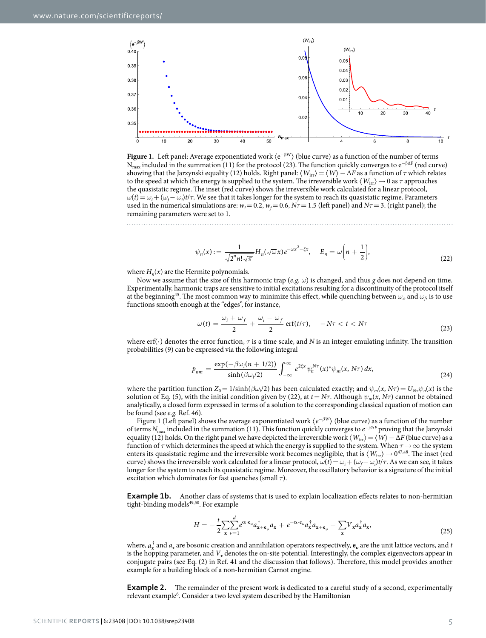

<span id="page-5-0"></span>**Figure 1.** Left panel: Average exponentiated work 〈e−β<sup>W</sup>〉 (blue curve) as a function of the number of terms  $N_{max}$  included in the summation (11) for the protocol (23). The function quickly converges to  $e^{-\beta\Delta F}$  (red curve) showing that the Jarzynski equality (12) holds. Right panel:  $\langle W_{irr} \rangle = \langle W \rangle - \Delta F$  as a function of *τ* which relates to the speed at which the energy is supplied to the system. The irreversible work  $\langle W_{irr} \rangle \to 0$  as  $\tau$  approaches the quasistatic regime. The inset (red curve) shows the irreversible work calculated for a linear protocol,  $\omega(t) = \omega_i + (\omega_f - \omega_i)t/\tau$ . We see that it takes longer for the system to reach its quasistatic regime. Parameters used in the numerical simulations are:  $w_i = 0.2$ ,  $w_f = 0.6$ ,  $N\tau = 1.5$  (left panel) and  $N\tau = 3$ . (right panel); the remaining parameters were set to 1.

$$
\psi_n(x) := \frac{1}{\sqrt{2^n n! \sqrt{\pi}}} H_n(\sqrt{\omega} x) e^{-\omega x^2 - \xi x}, \quad E_n = \omega \left( n + \frac{1}{2} \right), \tag{22}
$$

where  $H_n(x)$  are the Hermite polynomials.

Now we assume that the size of this harmonic trap (*e.g. ω*) is changed, and thus *g* does not depend on time. Experimentally, harmonic traps are sensitive to initial excitations resulting for a discontinuity of the protocol itself at the beginning<sup>45</sup>. The most common way to minimize this effect, while quenching between  $\omega_i$ , and  $\omega_j$  is to use functions smooth enough at the "edges", for instance,

$$
\omega(t) = \frac{\omega_i + \omega_f}{2} + \frac{\omega_i - \omega_f}{2} \operatorname{erf}(t/\tau), \quad -N\tau < t < N\tau \tag{23}
$$

where erf(⋅) denotes the error function, *τ* is a time scale, and *N* is an integer emulating infinity. The transition probabilities (9) can be expressed via the following integral

$$
p_{nm} = \frac{\exp(-\beta \omega_i (n+1/2))}{\sinh(\beta \omega_i/2)} \int_{-\infty}^{\infty} e^{2\xi x} \psi_n^{N\tau}(x)^* \psi_m(x, N\tau) dx,
$$
\n(24)

where the partition function  $Z_0 = 1/\sinh(\beta \omega_i/2)$  has been calculated exactly; and  $\psi_m(x, N\tau) = U_{N\tau}\psi_n(x)$  is the solution of Eq. (5), with the initial condition given by (22), at  $t = N\tau$ . Although  $\psi_m(x, N\tau)$  cannot be obtained analytically, a closed form expressed in terms of a solution to the corresponding classical equation of motion can be found (see *e.g.* Ref. [46](#page-7-39)).

[Figure 1](#page-5-0) (Left panel) shows the average exponentiated work 〈*e*<sup>−</sup>*β<sup>W</sup>*〉 (blue curve) as a function of the number of terms *N*max included in the summation (11). This function quickly converges to *e*<sup>−</sup>*β*Δ*<sup>F</sup>* proving that the Jarzynski equality (12) holds. On the right panel we have depicted the irreversible work  $\langle W_{irr} \rangle = \langle W \rangle - \Delta F$  (blue curve) as a function of *τ* which determines the speed at which the energy is supplied to the system. When *τ*→ ∞ the system enters its quasistatic regime and the irreversible work becomes negligible, that is  $\langle W_{\rm irr}\rangle\to 0^{47,48}.$  $\langle W_{\rm irr}\rangle\to 0^{47,48}.$  $\langle W_{\rm irr}\rangle\to 0^{47,48}.$  The inset (red curve) shows the irreversible work calculated for a linear protocol,  $\omega(t) = \omega_i + (\omega_f - \omega_i)t/\tau$ . As we can see, it takes longer for the system to reach its quasistatic regime. Moreover, the oscillatory behavior is a signature of the initial excitation which dominates for fast quenches (small *τ*).

**Example 1b.** Another class of systems that is used to explain localization effects relates to non-hermitian tight-binding models<sup>[49](#page-7-42),[50](#page-7-43)</sup>. For example

$$
H = -\frac{t}{2} \sum_{\mathbf{x}} \sum_{\nu=1}^{d} e^{\alpha \cdot \mathbf{e}_{\nu}} a_{\mathbf{x}+\mathbf{e}_{\nu}}^{\dagger} a_{\mathbf{x}} + e^{-\alpha \cdot \mathbf{e}_{\nu}} a_{\mathbf{x}}^{\dagger} a_{\mathbf{x}+\mathbf{e}_{\nu}} + \sum_{\mathbf{x}} V_{\mathbf{x}} a_{\mathbf{x}}^{\dagger} a_{\mathbf{x}},\tag{25}
$$

where,  $a_x^T$  and  $a_x$  are bosonic creation and annihilation operators respectively,  $e_y$  are the unit lattice vectors, and *t* is the hopping parameter, and  $V_x$  denotes the on-site potential. Interestingly, the complex eigenvectors appear in conjugate pairs (see Eq. (2) in Ref. [41](#page-7-34) and the discussion that follows). Therefore, this model provides another example for a building block of a non-hermitian Carnot engine.

**Example 2.** The remainder of the present work is dedicated to a careful study of a second, experimentally relevant example<sup>6</sup>. Consider a two level system described by the Hamiltonian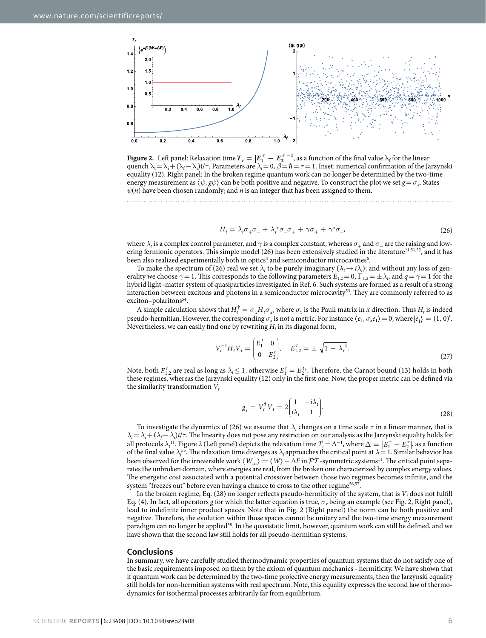

<span id="page-6-0"></span>**Figure 2.** Left panel: Relaxation time  $T_r = |E_1^\top - E_2^\top|^{-1}$ , as a function of the final value  $\lambda_f$  for the linear quench  $\lambda_t = \lambda_i + (\lambda_f - \lambda_i)t/\tau$ . Parameters are  $\lambda_i = 0$ ,  $\beta = \hbar = \tau = 1$ . Inset: numerical confirmation of the Jarzynski equality (12). Right panel: In the broken regime quantum work can no longer be determined by the two-time energy measurement as  $\langle \psi, g\psi \rangle$  can be both positive and negative. To construct the plot we set  $g = \sigma_x$ . States  $\psi(n)$  have been chosen randomly; and *n* is an integer that has been assigned to them.

$$
H_t = \lambda_t \sigma_+ \sigma_- + \lambda_t^* \sigma_- \sigma_+ + \gamma \sigma_+ + \gamma^* \sigma_-,\tag{26}
$$

where  $\lambda_t$  is a complex control parameter, and  $\gamma$  is a complex constant, whereas  $\sigma_+$  and  $\sigma_-$  are the raising and low-ering fermionic operators. This simple model (26) has been extensively studied in the literature<sup>11[,51](#page-7-44),52</sup>, and it has been also realized experimentally both in optics<sup>[4](#page-7-3)</sup> and semiconductor microcavities $\rm ^6$ .

To make the spectrum of (26) real we set  $\lambda_t$  to be purely imaginary ( $\lambda_t \to i\lambda_t$ ); and without any loss of generality we choose  $\gamma = 1$ . This corresponds to the following parameters  $E_{1,2} = 0$ ,  $\Gamma_{1,2} = \pm \lambda_p$ , and  $q = \gamma = 1$  for the hybrid light–matter system of quasiparticles investigated in Ref. [6.](#page-7-5) Such systems are formed as a result of a strong interaction between excitons and photons in a semiconductor microcavity<sup>53</sup>. They are commonly referred to as exciton-polaritons<sup>54</sup>.

A simple calculation shows that  $H_t^{\dagger} = \sigma_x H_t \sigma_x$ , where  $\sigma_x$  is the Pauli matrix in *x* direction. Thus  $H_t$  is indeed pseudo-hermitian. However, the corresponding  $\sigma_x$  is not a metric. For instance  $\langle e_1, \sigma_x e_1 \rangle = 0$ , where  $|e_1 \rangle = (1, 0)^t$ . Nevertheless, we can easily find one by rewriting  $H_t$  in its diagonal form,

$$
V_t^{-1}H_tV_t = \begin{pmatrix} E_1^t & 0 \\ 0 & E_2^t \end{pmatrix}, \quad E_{1,2}^t = \pm \sqrt{1 - \lambda_t^2}.
$$
 (27)

Note, both  $E_{1,2}^t$  are real as long as  $\lambda_t \leq 1$ , otherwise  $E_1^t = E_2^{t_*}$ . Therefore, the Carnot bound (13) holds in both these regimes, whereas the Jarzynski equality (12) only in the first one. Now, the proper metric can be defined via the similarity transformation  $V_t$ 

$$
g_t = V_t^{\dagger} V_t = 2 \begin{pmatrix} 1 & -i\lambda_t \\ i\lambda_t & 1 \end{pmatrix} . \tag{28}
$$

To investigate the dynamics of (26) we assume that  $\lambda$ , changes on a time scale  $\tau$  in a linear manner, that is  $\lambda_t = \lambda_i + (\lambda_f - \lambda_i)t/\tau$ . The linearity does not pose any restriction on our analysis as the Jarzynski equality holds for all protocols  $\lambda_i$ <sup>[11](#page-7-10)</sup>. [Figure 2](#page-6-0) (Left panel) depicts the relaxation time  $T_r = \Delta^{-1}$ , where  $\Delta = |E_1^\top - E_2^\top|$ , as a function of the final value  $\lambda_j$ <sup>55</sup>. The relaxation time diverges as  $\lambda_j$  approaches the critical point at  $\lambda = 1$ . Similar behavior has been observed for the irreversible work  $\langle W_{irr} \rangle := \langle W \rangle - \Delta F$  in  $\mathcal{PT}$ -symmetric systems<sup>11</sup>. The critical point separates the unbroken domain, where energies are real, from the broken one characterized by complex energy values. The energetic cost associated with a potential crossover between those two regimes becomes infinite, and the system "freezes out" before even having a chance to cross to the other regime<sup>[56,](#page-7-49)57</sup>.

In the broken regime, Eq.  $(28)$  no longer reflects pseudo-hermiticity of the system, that is  $V_t$  does not fulfill Eq. (4). In fact, all operators *g* for which the latter equation is true,  $\sigma_x$  being an example (see [Fig. 2](#page-6-0), Right panel), lead to indefinite inner product spaces. Note that in [Fig. 2](#page-6-0) (Right panel) the norm can be both positive and negative. Therefore, the evolution within those spaces cannot be unitary and the two-time energy measurement paradigm can no longer be applied<sup>[58](#page-7-51)</sup>. In the quasistatic limit, however, quantum work can still be defined, and we have shown that the second law still holds for all pseudo-hermitian systems.

#### **Conclusions**

In summary, we have carefully studied thermodynamic properties of quantum systems that do not satisfy one of the basic requirements imposed on them by the axiom of quantum mechanics - hermiticity. We have shown that if quantum work can be determined by the two-time projective energy measurements, then the Jarzynski equality still holds for non-hermitian systems with real spectrum. Note, this equality expresses the second law of thermodynamics for isothermal processes arbitrarily far from equilibrium.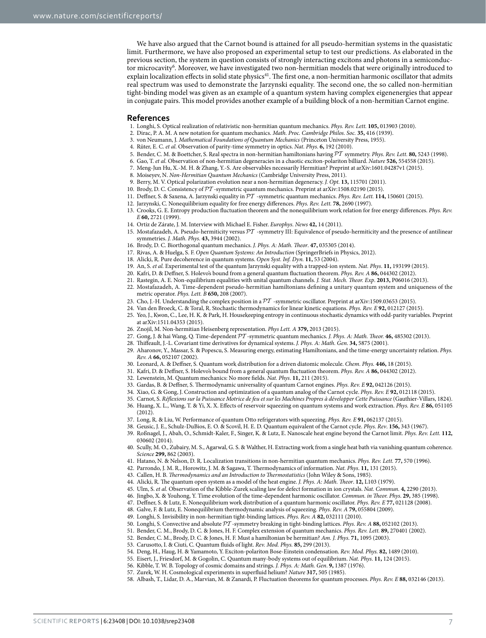We have also argued that the Carnot bound is attained for all pseudo-hermitian systems in the quasistatic limit. Furthermore, we have also proposed an experimental setup to test our predictions. As elaborated in the previous section, the system in question consists of strongly interacting excitons and photons in a semiconductor microcavity<sup>6</sup>. Moreover, we have investigated two non-hermitian models that were originally introduced to explain localization effects in solid state physics<sup>41</sup>. The first one, a non-hermitian harmonic oscillator that admits real spectrum was used to demonstrate the Jarzynski equality. The second one, the so called non-hermitian tight-binding model was given as an example of a quantum system having complex eigenenergies that appear in conjugate pairs. This model provides another example of a building block of a non-hermitian Carnot engine.

#### **References**

- <span id="page-7-0"></span>1. Longhi, S. Optical realization of relativistic non-hermitian quantum mechanics. *Phys. Rev. Lett.* **105,** 013903 (2010).
- <span id="page-7-1"></span>2. Dirac, P. A. M. A new notation for quantum mechanics. *Math. Proc. Cambridge Philos. Soc.* **35,** 416 (1939).
- <span id="page-7-2"></span>3. von Neumann, J. *Mathematical Foundations of Quantum Mechanics* (Princeton University Press, 1955).
- <span id="page-7-4"></span><span id="page-7-3"></span>4. Rüter, E. C. *et al.* Observation of parity-time symmetry in optics. *Nat. Phys*. **6,** 192 (2010).
- 5. Bender, C. M. & Boettcher, S. Real spectra in non-hermitian hamiltonians having PT symmetry. *Phys. Rev. Lett.* **80,** 5243 (1998).
- <span id="page-7-5"></span>6. Gao, T. *et al.* Observation of non-hermitian degeneracies in a chaotic exciton-polariton billiard. *Nature* **526,** 554558 (2015).
- <span id="page-7-6"></span>7. Meng-Jun Hu, X.-M. H. & Zhang, Y.-S. Are observables necessarily Hermitian? Preprint at arXiv:1601.04287v1 (2015).
- <span id="page-7-8"></span><span id="page-7-7"></span>8. Moiseyev, N. *Non-Hermitian Quantum Mechanics* (Cambridge University Press, 2011).
- 9. Berry, M. V. Optical polarization evolution near a non-hermitian degeneracy. *J. Opt.* **13,** 115701 (2011).
- <span id="page-7-9"></span>10. Brody, D. C. Consistency of PT -symmetric quantum mechanics. Preprint at arXiv:1508.02190 (2015).
- <span id="page-7-10"></span>11. Deffner, S. & Saxena, A. Jarzynski equality in PT -symmetric quantum mechanics. *Phys. Rev. Lett.* **114,** 150601 (2015).
- <span id="page-7-11"></span>12. Jarzynski, C. Nonequilibrium equality for free energy differences. *Phys. Rev. Lett.* **78,** 2690 (1997).
- <span id="page-7-12"></span>13. Crooks, G. E. Entropy production fluctuation theorem and the nonequilibrium work relation for free energy differences. *Phys. Rev. E* **60,** 2721 (1999).
- <span id="page-7-13"></span>14. Ortiz de Zárate, J. M. Interview with Michael E. Fisher. *Europhys. News* **42,** 14 (2011).
- <span id="page-7-14"></span>15. Mostafazadeh, A. Pseudo-hermiticity versus  $\mathcal{PT}$  -symmetry III: Equivalence of pseudo-hermiticity and the presence of antilinear symmetries. *J. Math. Phys*. **43,** 3944 (2002).
- <span id="page-7-15"></span>16. Brody, D. C. Biorthogonal quantum mechanics. *J. Phys. A: Math. Theor*. **47,** 035305 (2014).
- <span id="page-7-16"></span>17. Rivas, A. & Huelga, S. F. *Open Quantum Systems: An Introduction* (SpringerBriefs in Physics, 2012).
- <span id="page-7-18"></span><span id="page-7-17"></span>18. Alicki, R. Pure decoherence in quantum systems. *Open Syst. Inf. Dyn.* **11,** 53 (2004).
- 19. An, S. *et al.* Experimental test of the quantum Jarzynski equality with a trapped-ion system. *Nat. Phys*. **11,** 193199 (2015).
- 20. Kafri, D. & Deffner, S. Holevo's bound from a general quantum fluctuation theorem. *Phys. Rev. A* **86,** 044302 (2012).
- 21. Rastegin, A. E. Non-equilibrium equalities with unital quantum channels. *J. Stat. Mech. Theor. Exp*. **2013,** P06016 (2013).
- <span id="page-7-19"></span>22. Mostafazadeh, A. Time-dependent pseudo-hermitian hamiltonians defining a unitary quantum system and uniqueness of the metric operator. *Phys. Lett. B* **650,** 208 (2007).
- <span id="page-7-20"></span>23. Cho, J.-H. Understanding the complex position in a  $\mathcal{PT}$  -symmetric oscillator. Preprint at arXiv:1509.03653 (2015).
- <span id="page-7-21"></span>24. Van den Broeck, C. & Toral, R. Stochastic thermodynamics for linear kinetic equations. *Phys. Rev. E* **92,** 012127 (2015).
- <span id="page-7-22"></span>25. Yeo, J., Kwon, C., Lee, H. K. & Park, H. Housekeeping entropy in continuous stochastic dynamics with odd-parity variables. Preprint at arXiv:1511.04353 (2015).
- <span id="page-7-23"></span>26. Znojil, M. Non-hermitian Heisenberg representation. *Phys Lett. A* **379,** 2013 (2015).
- <span id="page-7-24"></span>27. Gong, J. & hai Wang, Q. Time-dependent PT -symmetric quantum mechanics. *J. Phys. A: Math. Theor.* **46,** 485302 (2013).
- <span id="page-7-25"></span>28. Thiffeault, J.-L. Covariant time derivatives for dynamical systems. *J. Phys. A: Math. Gen*. **34,** 5875 (2001).
- <span id="page-7-26"></span>29. Aharonov, Y., Massar, S. & Popescu, S. Measuring energy, estimating Hamiltonians, and the time-energy uncertainty relation. *Phys. Rev. A* **66,** 052107 (2002).
- <span id="page-7-27"></span>30. Leonard, A. & Deffner, S. Quantum work distribution for a driven diatomic molecule. *Chem. Phys.* **446,** 18 (2015).
- <span id="page-7-28"></span>31. Kafri, D. & Deffner, S. Holevo's bound from a general quantum fluctuation theorem. *Phys. Rev. A* **86,** 044302 (2012).
- <span id="page-7-29"></span>32. Lewenstein, M. Quantum mechanics: No more fields. *Nat. Phys*. **11,** 211 (2015).
- <span id="page-7-30"></span>33. Gardas, B. & Deffner, S. Thermodynamic universality of quantum Carnot engines. *Phys. Rev. E* **92,** 042126 (2015).
- <span id="page-7-31"></span>34. Xiao, G. & Gong, J. Construction and optimization of a quantum analog of the Carnot cycle. *Phys. Rev. E* **92,** 012118 (2015).
- <span id="page-7-32"></span>35. Carnot, S. *Réflexions sur la Puissance Motrice de feu et sur les Machines Propres à développer Cette Puissance* (Gauthier-Villars, 1824).
- 36. Huang, X. L., Wang, T. & Yi, X. X. Effects of reservoir squeezing on quantum systems and work extraction. *Phys. Rev. E* **86,** 051105  $(2012)$
- 37. Long, R. & Liu, W. Performance of quantum Otto refrigerators with squeezing. *Phys. Rev. E* **91,** 062137 (2015).
- <span id="page-7-33"></span>38. Geusic, J. E., Schulz-DuBios, E. O. & Scovil, H. E. D. Quantum equivalent of the Carnot cycle. *Phys. Rev*. **156,** 343 (1967).
- 39. Roßnagel, J., Abah, O., Schmidt-Kaler, F., Singer, K. & Lutz, E. Nanoscale heat engine beyond the Carnot limit. *Phys. Rev. Lett.* **112,** 030602 (2014).
- 40. Scully, M. O., Zubairy, M. S., Agarwal, G. S. & Walther, H. Extracting work from a single heat bath via vanishing quantum coherence. *Science* **299,** 862 (2003).
- <span id="page-7-34"></span>41. Hatano, N. & Nelson, D. R. Localization transitions in non-hermitian quantum mechanics. *Phys. Rev. Lett.* **77,** 570 (1996).
- <span id="page-7-35"></span>42. Parrondo, J. M. R., Horowitz, J. M. & Sagawa, T. Thermodynamics of information. *Nat. Phys*. **11,** 131 (2015).
- <span id="page-7-36"></span>43. Callen, H. B. *Thermodynamics and an Introduction to Thermostatistics* (John Wiley & Sons, 1985).
- <span id="page-7-37"></span>44. Alicki, R. The quantum open system as a model of the heat engine. *J. Phys. A: Math. Theor*. **12,** L103 (1979).
- <span id="page-7-39"></span><span id="page-7-38"></span>45. Ulm, S. *et al.* Observation of the Kibble-Zurek scaling law for defect formation in ion crystals. *Nat. Commun.* **4,** 2290 (2013).
- 46. Jingbo, X. & Youhong, Y. Time evolution of the time-dependent harmonic oscillator. *Commun. in Theor. Phys*. **29,** 385 (1998).
- <span id="page-7-40"></span>47. Deffner, S. & Lutz, E. Nonequilibrium work distribution of a quantum harmonic oscillator. *Phys. Rev. E* **77,** 021128 (2008).
- <span id="page-7-41"></span>48. Galve, F. & Lutz, E. Nonequilibrium thermodynamic analysis of squeezing. *Phys. Rev. A* **79,** 055804 (2009).
- <span id="page-7-42"></span>49. Longhi, S. Invisibility in non-hermitian tight-binding lattices. *Phys. Rev. A* **82,** 032111 (2010).
- <span id="page-7-43"></span>50. Longhi, S. Convective and absolute PT -symmetry breaking in tight-binding lattices. *Phys. Rev. A* **88,** 052102 (2013).
- <span id="page-7-44"></span>51. Bender, C. M., Brody, D. C. & Jones, H. F. Complex extension of quantum mechanics. *Phys. Rev. Lett.* **89,** 270401 (2002).
- <span id="page-7-45"></span>52. Bender, C. M., Brody, D. C. & Jones, H. F. Must a hamiltonian be hermitian? *Am. J. Phys*. **71,** 1095 (2003).
- <span id="page-7-47"></span><span id="page-7-46"></span>53. Carusotto, I. & Ciuti, C. Quantum fluids of light. *Rev. Mod. Phys.* **85,** 299 (2013).
- <span id="page-7-49"></span><span id="page-7-48"></span>54. Deng, H., Haug, H. & Yamamoto, Y. Exciton-polariton Bose-Einstein condensation. *Rev. Mod. Phys.* **82,** 1489 (2010).
- <span id="page-7-51"></span><span id="page-7-50"></span>55. Eisert, J., Friesdorf, M. & Gogolin, C. Quantum many-body systems out of equilibrium. *Nat. Phys*. **11,** 124 (2015).
	- 56. Kibble, T. W. B. Topology of cosmic domains and strings. *J. Phys. A: Math. Gen*. **9,** 1387 (1976).
	- 57. Zurek, W. H. Cosmological experiments in superfluid helium? *Nature* **317,** 505 (1985).
	- 58. Albash, T., Lidar, D. A., Marvian, M. & Zanardi, P. Fluctuation theorems for quantum processes. *Phys. Rev. E* **88,** 032146 (2013).